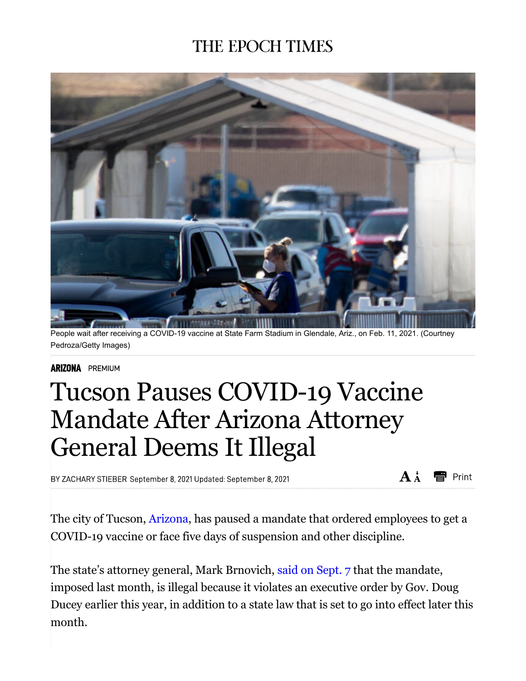## **THE EPOCH TIMES**



People wait after receiving a COVID-19 vaccine at State Farm Stadium in Glendale, Ariz., on Feb. 11, 2021. (Courtney Pedroza/Getty Images)

## **ARIZONA** PREMIUM

## Tucson Pauses COVID-19 Vaccine Mandate After Arizona Attorney General Deems It Illegal

BY ZACHARY STIEBER September 8, 2021 Updated: September 8, 2021

 $A^{\dagger}$ esent Print

The city of Tucson, Arizona, has paused a mandate that ordered employees to get a COVID-19 vaccine or face five days of suspension and other discipline.

The state's attorney general, Mark Brnovich, said on Sept. 7 that the mandate, imposed last month, is illegal because it violates an executive order by Gov. Doug Ducey earlier this year, in addition to a state law that is set to go into effect later this month.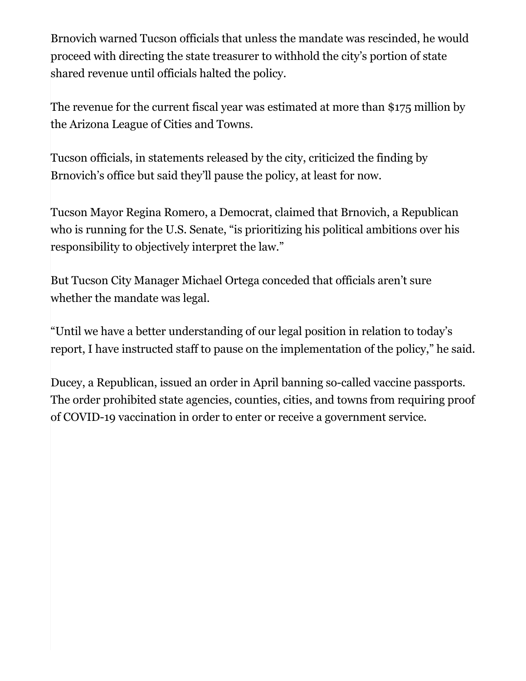Brnovich warned Tucson officials that unless the mandate was rescinded, he would proceed with directing the state treasurer to withhold the city's portion of state shared revenue until officials halted the policy.

The revenue for the current fiscal year was estimated at more than \$175 million by the Arizona League of Cities and Towns.

Tucson officials, in statements released by the city, criticized the finding by Brnovich's office but said they'll pause the policy, at least for now.

Tucson Mayor Regina Romero, a Democrat, claimed that Brnovich, a Republican who is running for the U.S. Senate, "is prioritizing his political ambitions over his responsibility to objectively interpret the law."

But Tucson City Manager Michael Ortega conceded that officials aren't sure whether the mandate was legal.

"Until we have a better understanding of our legal position in relation to today's report, I have instructed staff to pause on the implementation of the policy," he said.

Ducey, a Republican, issued an order in April banning so-called vaccine passports. The order prohibited state agencies, counties, cities, and towns from requiring proof of COVID-19 vaccination in order to enter or receive a government service.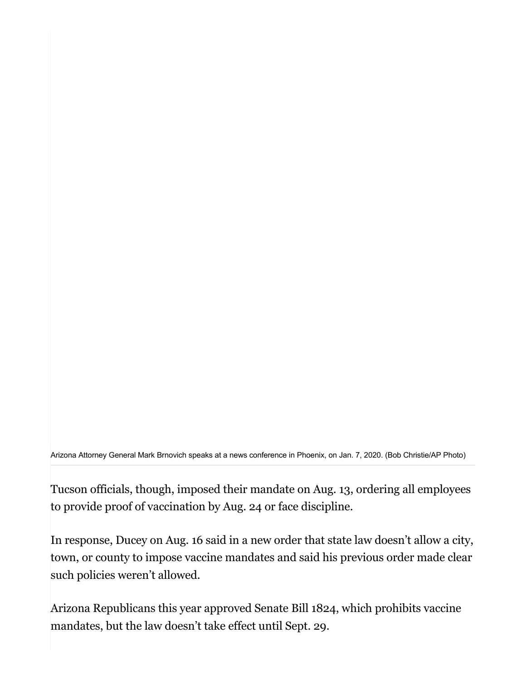Arizona Attorney General Mark Brnovich speaks at a news conference in Phoenix, on Jan. 7, 2020. (Bob Christie/AP Photo)

Tucson officials, though, imposed their mandate on Aug. 13, ordering all employees to provide proof of vaccination by Aug. 24 or face discipline.

In response, Ducey on Aug. 16 said in a new order that state law doesn't allow a city, town, or county to impose vaccine mandates and said his previous order made clear such policies weren't allowed.

Arizona Republicans this year approved Senate Bill 1824, which prohibits vaccine mandates, but the law doesn't take effect until Sept. 29.